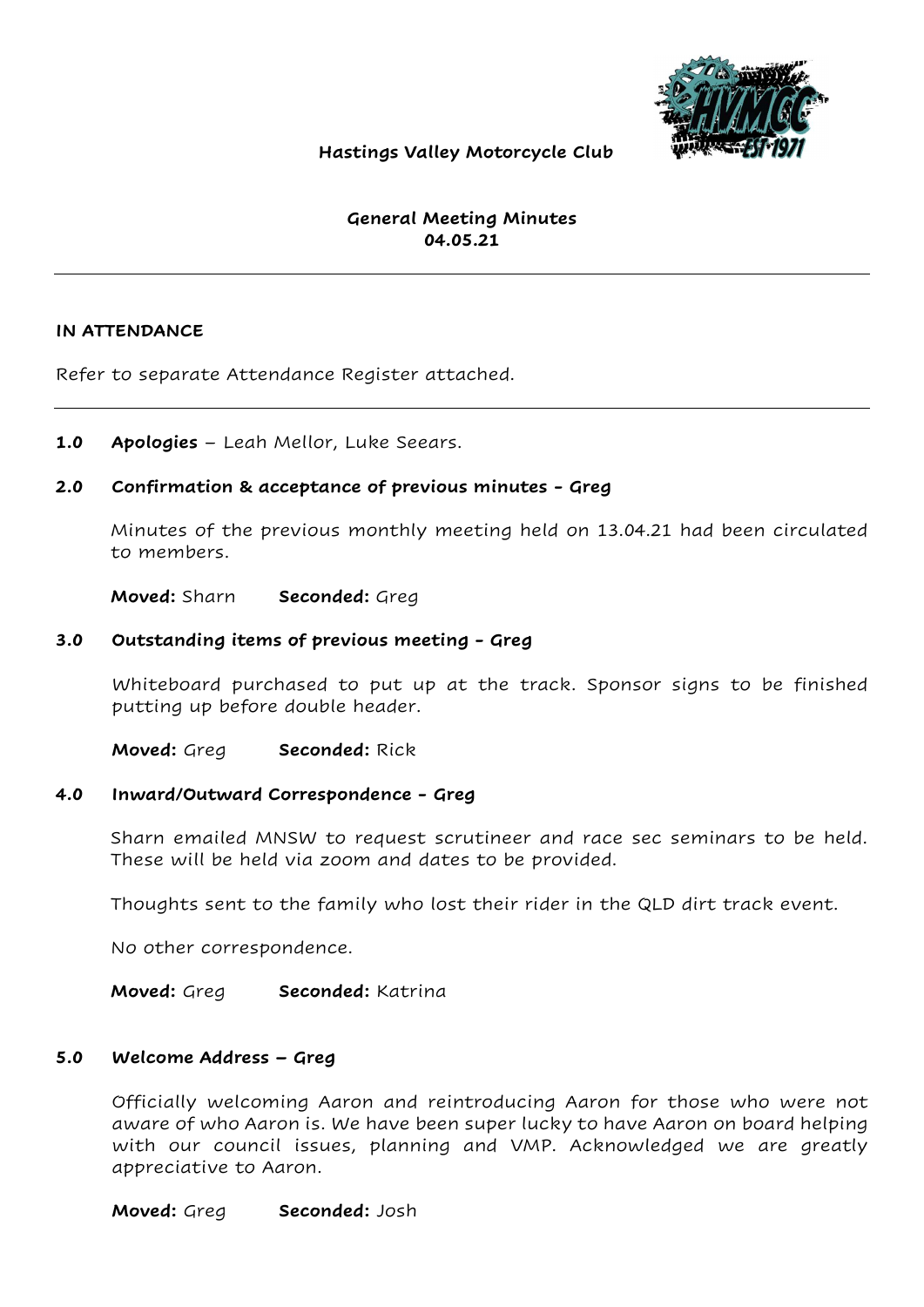

# Hastings Valley Motorcycle Club

# General Meeting Minutes 04.05.21

### IN ATTENDANCE

Refer to separate Attendance Register attached.

1.0 Apologies – Leah Mellor, Luke Seears.

### 2.0 Confirmation & acceptance of previous minutes - Greg

Minutes of the previous monthly meeting held on 13.04.21 had been circulated to members.

Moved: Sharn Seconded: Greg

#### 3.0 Outstanding items of previous meeting - Greg

Whiteboard purchased to put up at the track. Sponsor signs to be finished putting up before double header.

Moved: Greg Seconded: Rick

#### 4.0 Inward/Outward Correspondence - Greg

Sharn emailed MNSW to request scrutineer and race sec seminars to be held. These will be held via zoom and dates to be provided.

Thoughts sent to the family who lost their rider in the QLD dirt track event.

No other correspondence.

Moved: Greg Seconded: Katrina

### 5.0 Welcome Address – Greg

Officially welcoming Aaron and reintroducing Aaron for those who were not aware of who Aaron is. We have been super lucky to have Aaron on board helping with our council issues, planning and VMP. Acknowledged we are greatly appreciative to Aaron.

Moved: Greg Seconded: Josh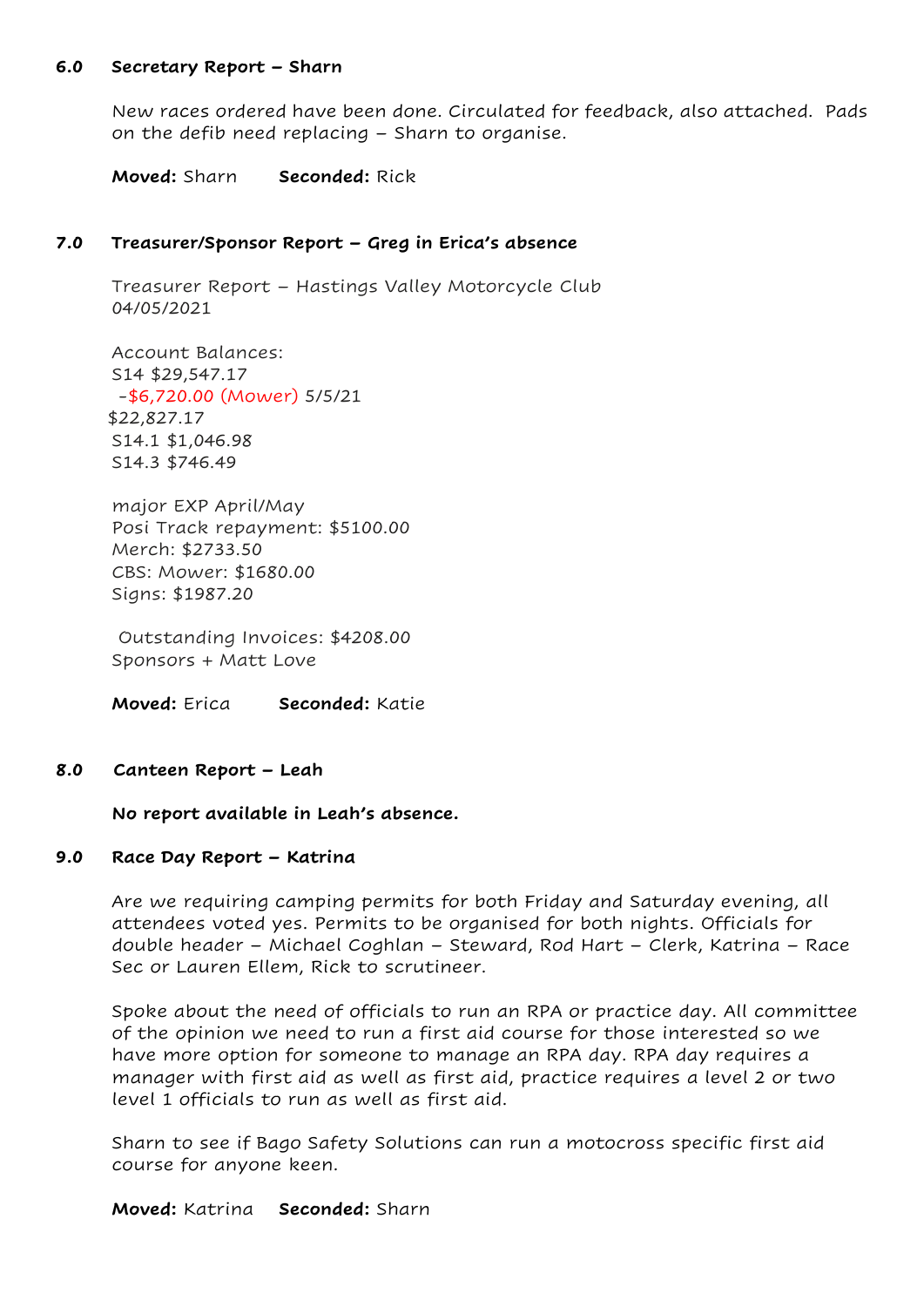### 6.0 Secretary Report – Sharn

New races ordered have been done. Circulated for feedback, also attached. Pads on the defib need replacing – Sharn to organise.

Moved: Sharn Seconded: Rick

### 7.0 Treasurer/Sponsor Report – Greg in Erica's absence

Treasurer Report – Hastings Valley Motorcycle Club 04/05/2021

Account Balances: S14 \$29,547.17 -\$6,720.00 (Mower) 5/5/21 \$22,827.17 S14.1 \$1,046.98 S14.3 \$746.49

major EXP April/May Posi Track repayment: \$5100.00 Merch: \$2733.50 CBS: Mower: \$1680.00 Signs: \$1987.20

 Outstanding Invoices: \$4208.00 Sponsors + Matt Love

Moved: Erica Seconded: Katie

#### 8.0 Canteen Report – Leah

No report available in Leah's absence.

#### 9.0 Race Day Report – Katrina

Are we requiring camping permits for both Friday and Saturday evening, all attendees voted yes. Permits to be organised for both nights. Officials for double header – Michael Coghlan – Steward, Rod Hart – Clerk, Katrina – Race Sec or Lauren Ellem, Rick to scrutineer.

Spoke about the need of officials to run an RPA or practice day. All committee of the opinion we need to run a first aid course for those interested so we have more option for someone to manage an RPA day. RPA day requires a manager with first aid as well as first aid, practice requires a level 2 or two level 1 officials to run as well as first aid.

Sharn to see if Bago Safety Solutions can run a motocross specific first aid course for anyone keen.

Moved: Katrina Seconded: Sharn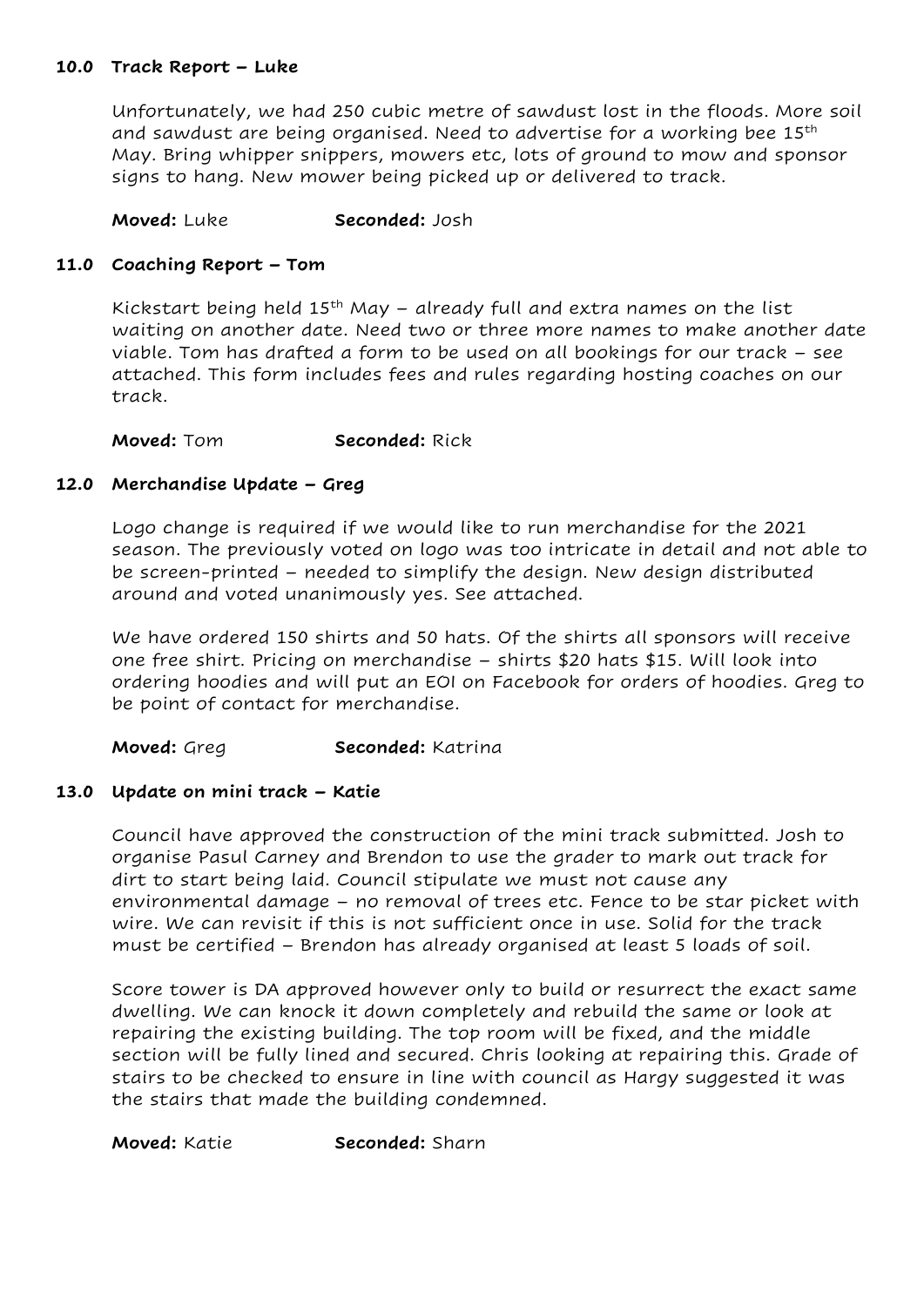# 10.0 Track Report – Luke

Unfortunately, we had 250 cubic metre of sawdust lost in the floods. More soil and sawdust are being organised. Need to advertise for a working bee 15<sup>th</sup> May. Bring whipper snippers, mowers etc, lots of ground to mow and sponsor signs to hang. New mower being picked up or delivered to track.

Moved: Luke Seconded: Josh

# 11.0 Coaching Report – Tom

Kickstart being held  $15<sup>th</sup>$  May – already full and extra names on the list waiting on another date. Need two or three more names to make another date viable. Tom has drafted a form to be used on all bookings for our track – see attached. This form includes fees and rules regarding hosting coaches on our track.

Moved: Tom Seconded: Rick

# 12.0 Merchandise Update – Greg

Logo change is required if we would like to run merchandise for the 2021 season. The previously voted on logo was too intricate in detail and not able to be screen-printed – needed to simplify the design. New design distributed around and voted unanimously yes. See attached.

We have ordered 150 shirts and 50 hats. Of the shirts all sponsors will receive one free shirt. Pricing on merchandise – shirts \$20 hats \$15. Will look into ordering hoodies and will put an EOI on Facebook for orders of hoodies. Greg to be point of contact for merchandise.

Moved: Greg Seconded: Katrina

### 13.0 Update on mini track – Katie

Council have approved the construction of the mini track submitted. Josh to organise Pasul Carney and Brendon to use the grader to mark out track for dirt to start being laid. Council stipulate we must not cause any environmental damage – no removal of trees etc. Fence to be star picket with wire. We can revisit if this is not sufficient once in use. Solid for the track must be certified – Brendon has already organised at least 5 loads of soil.

Score tower is DA approved however only to build or resurrect the exact same dwelling. We can knock it down completely and rebuild the same or look at repairing the existing building. The top room will be fixed, and the middle section will be fully lined and secured. Chris looking at repairing this. Grade of stairs to be checked to ensure in line with council as Hargy suggested it was the stairs that made the building condemned.

### Moved: Katie Seconded: Sharn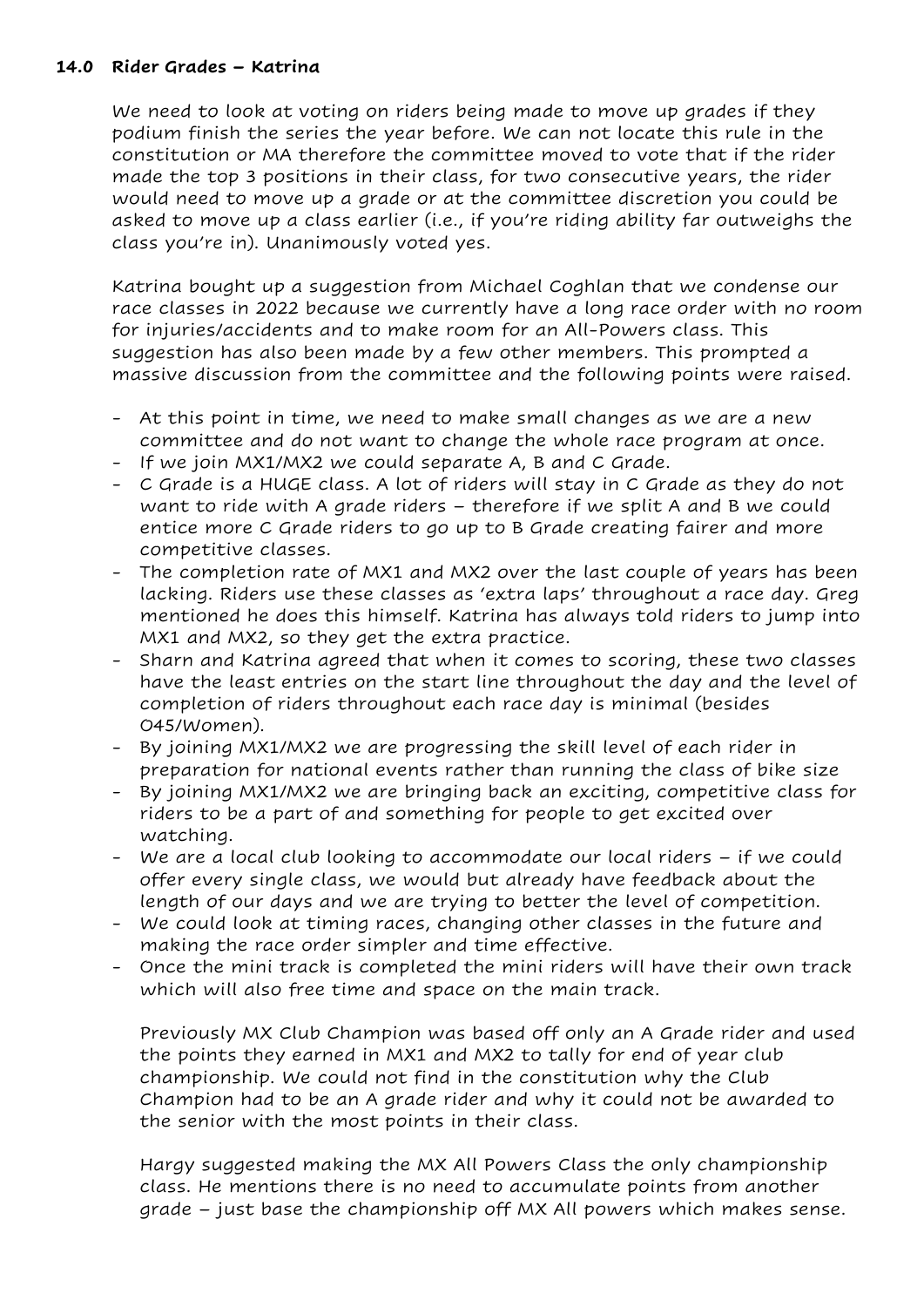# 14.0 Rider Grades – Katrina

We need to look at voting on riders being made to move up grades if they podium finish the series the year before. We can not locate this rule in the constitution or MA therefore the committee moved to vote that if the rider made the top 3 positions in their class, for two consecutive years, the rider would need to move up a grade or at the committee discretion you could be asked to move up a class earlier (i.e., if you're riding ability far outweighs the class you're in). Unanimously voted yes.

Katrina bought up a suggestion from Michael Coghlan that we condense our race classes in 2022 because we currently have a long race order with no room for injuries/accidents and to make room for an All-Powers class. This suggestion has also been made by a few other members. This prompted a massive discussion from the committee and the following points were raised.

- At this point in time, we need to make small changes as we are a new committee and do not want to change the whole race program at once.
- If we join MX1/MX2 we could separate A, B and C Grade.
- C Grade is a HUGE class. A lot of riders will stay in C Grade as they do not want to ride with A grade riders – therefore if we split A and B we could entice more C Grade riders to go up to B Grade creating fairer and more competitive classes.
- The completion rate of MX1 and MX2 over the last couple of years has been lacking. Riders use these classes as 'extra laps' throughout a race day. Greg mentioned he does this himself. Katrina has always told riders to jump into MX1 and MX2, so they get the extra practice.
- Sharn and Katrina agreed that when it comes to scoring, these two classes have the least entries on the start line throughout the day and the level of completion of riders throughout each race day is minimal (besides O45/Women).
- By joining MX1/MX2 we are progressing the skill level of each rider in preparation for national events rather than running the class of bike size
- By joining MX1/MX2 we are bringing back an exciting, competitive class for riders to be a part of and something for people to get excited over watching.
- We are a local club looking to accommodate our local riders if we could offer every single class, we would but already have feedback about the length of our days and we are trying to better the level of competition.
- We could look at timing races, changing other classes in the future and making the race order simpler and time effective.
- Once the mini track is completed the mini riders will have their own track which will also free time and space on the main track.

Previously MX Club Champion was based off only an A Grade rider and used the points they earned in MX1 and MX2 to tally for end of year club championship. We could not find in the constitution why the Club Champion had to be an A grade rider and why it could not be awarded to the senior with the most points in their class.

Hargy suggested making the MX All Powers Class the only championship class. He mentions there is no need to accumulate points from another grade – just base the championship off MX All powers which makes sense.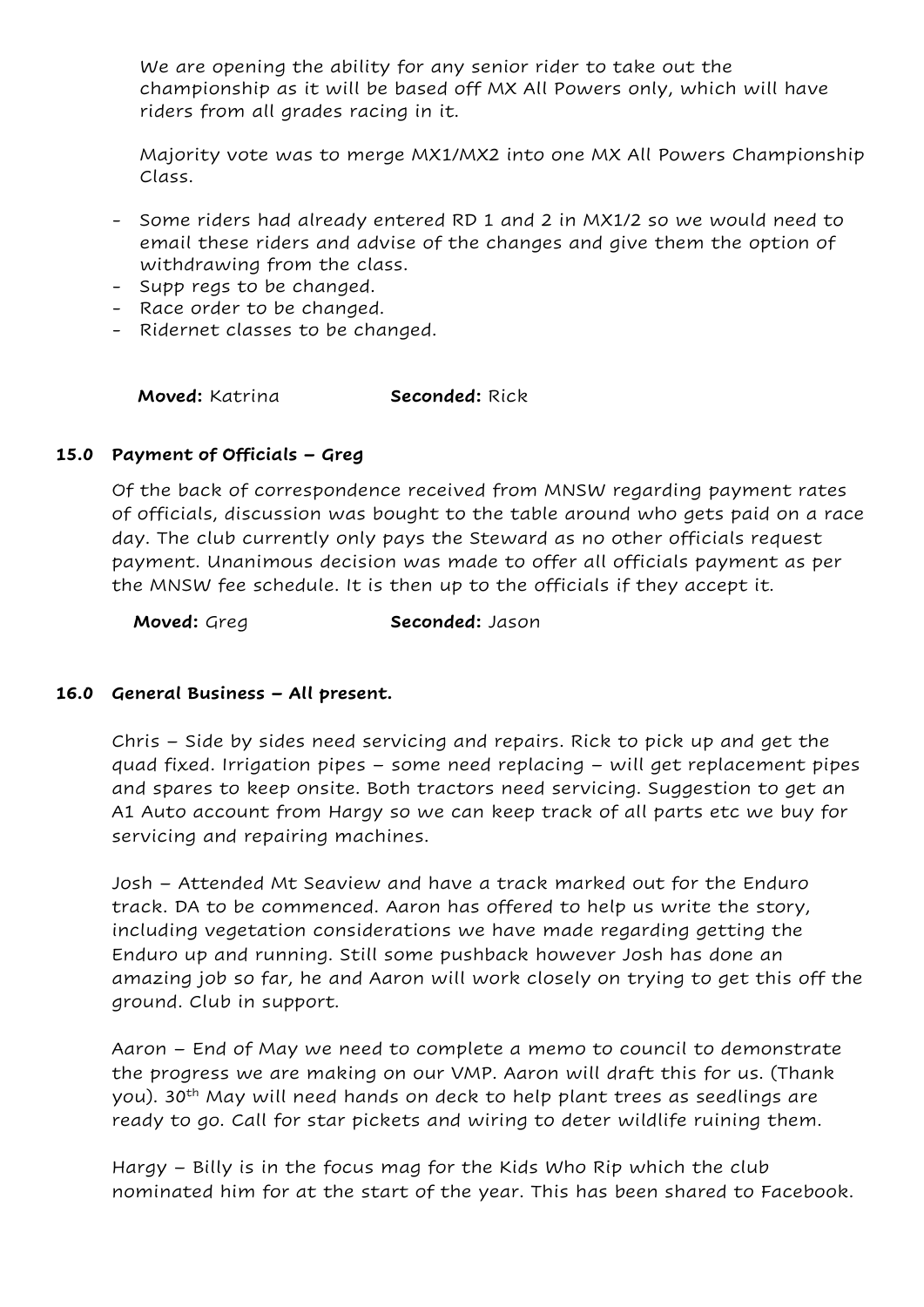We are opening the ability for any senior rider to take out the championship as it will be based off MX All Powers only, which will have riders from all grades racing in it.

Majority vote was to merge MX1/MX2 into one MX All Powers Championship Class.

- Some riders had already entered RD 1 and 2 in MX1/2 so we would need to email these riders and advise of the changes and give them the option of withdrawing from the class.
- Supp regs to be changed.
- Race order to be changed.
- Ridernet classes to be changed.

**Moved:** Katrina **Seconded:** Rick

# 15.0 Payment of Officials – Greg

Of the back of correspondence received from MNSW regarding payment rates of officials, discussion was bought to the table around who gets paid on a race day. The club currently only pays the Steward as no other officials request payment. Unanimous decision was made to offer all officials payment as per the MNSW fee schedule. It is then up to the officials if they accept it.

Moved: Greg Seconded: Jason

# 16.0 General Business – All present.

Chris – Side by sides need servicing and repairs. Rick to pick up and get the quad fixed. Irrigation pipes – some need replacing – will get replacement pipes and spares to keep onsite. Both tractors need servicing. Suggestion to get an A1 Auto account from Hargy so we can keep track of all parts etc we buy for servicing and repairing machines.

Josh – Attended Mt Seaview and have a track marked out for the Enduro track. DA to be commenced. Aaron has offered to help us write the story, including vegetation considerations we have made regarding getting the Enduro up and running. Still some pushback however Josh has done an amazing job so far, he and Aaron will work closely on trying to get this off the ground. Club in support.

Aaron – End of May we need to complete a memo to council to demonstrate the progress we are making on our VMP. Aaron will draft this for us. (Thank you). 30<sup>th</sup> May will need hands on deck to help plant trees as seedlings are ready to go. Call for star pickets and wiring to deter wildlife ruining them.

Hargy – Billy is in the focus mag for the Kids Who Rip which the club nominated him for at the start of the year. This has been shared to Facebook.